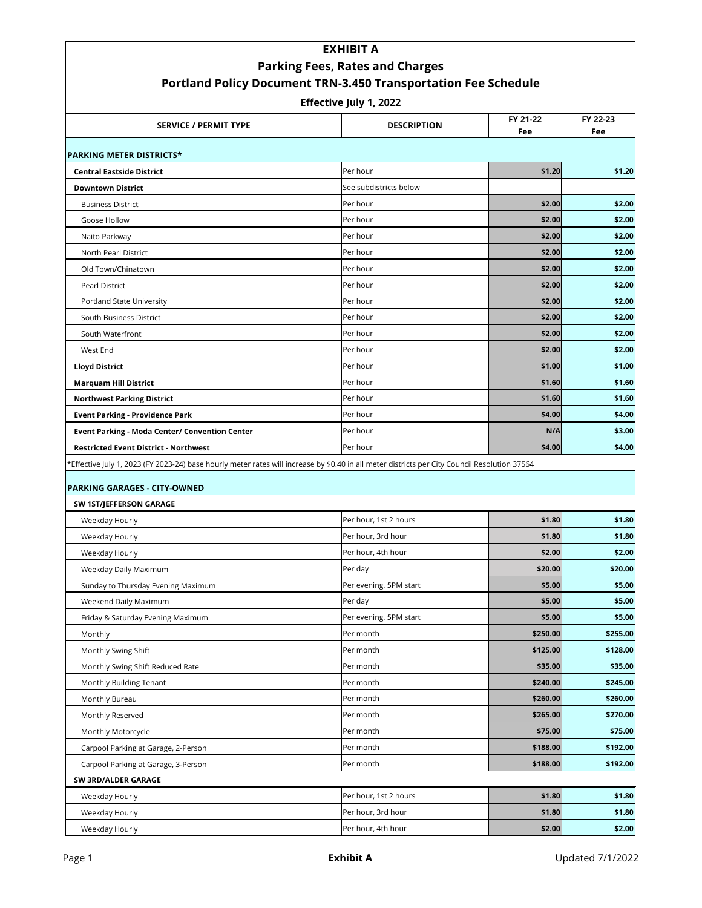| <b>EXHIBIT A</b>                                                                                                                              |                        |          |          |
|-----------------------------------------------------------------------------------------------------------------------------------------------|------------------------|----------|----------|
| <b>Parking Fees, Rates and Charges</b><br><b>Portland Policy Document TRN-3.450 Transportation Fee Schedule</b>                               |                        |          |          |
|                                                                                                                                               |                        |          |          |
|                                                                                                                                               |                        | FY 21-22 | FY 22-23 |
| <b>SERVICE / PERMIT TYPE</b>                                                                                                                  | <b>DESCRIPTION</b>     | Fee      | Fee      |
| <b>PARKING METER DISTRICTS*</b>                                                                                                               |                        |          |          |
| <b>Central Eastside District</b>                                                                                                              | Per hour               | \$1.20   | \$1.20   |
| <b>Downtown District</b>                                                                                                                      | See subdistricts below |          |          |
| <b>Business District</b>                                                                                                                      | Per hour               | \$2.00   | \$2.00   |
| Goose Hollow                                                                                                                                  | Per hour               | \$2.00   | \$2.00   |
| Naito Parkway                                                                                                                                 | Per hour               | \$2.00   | \$2.00   |
| North Pearl District                                                                                                                          | Per hour               | \$2.00   | \$2.00   |
| Old Town/Chinatown                                                                                                                            | Per hour               | \$2.00   | \$2.00   |
| Pearl District                                                                                                                                | Per hour               | \$2.00   | \$2.00   |
| Portland State University                                                                                                                     | Per hour               | \$2.00   | \$2.00   |
| South Business District                                                                                                                       | Per hour               | \$2.00   | \$2.00   |
| South Waterfront                                                                                                                              | Per hour               | \$2.00   | \$2.00   |
| West End                                                                                                                                      | Per hour               | \$2.00   | \$2.00   |
| <b>Lloyd District</b>                                                                                                                         | Per hour               | \$1.00   | \$1.00   |
| <b>Marquam Hill District</b>                                                                                                                  | Per hour               | \$1.60   | \$1.60   |
| <b>Northwest Parking District</b>                                                                                                             | Per hour               | \$1.60   | \$1.60   |
| <b>Event Parking - Providence Park</b>                                                                                                        | Per hour               | \$4.00   | \$4.00   |
| <b>Event Parking - Moda Center/ Convention Center</b>                                                                                         | Per hour               | N/A      | \$3.00   |
| <b>Restricted Event District - Northwest</b>                                                                                                  | Per hour               | \$4.00   | \$4.00   |
| *Effective July 1, 2023 (FY 2023-24) base hourly meter rates will increase by \$0.40 in all meter districts per City Council Resolution 37564 |                        |          |          |
|                                                                                                                                               |                        |          |          |
| <b>PARKING GARAGES - CITY-OWNED</b>                                                                                                           |                        |          |          |
| SW 1ST/JEFFERSON GARAGE                                                                                                                       |                        |          |          |
| Weekday Hourly                                                                                                                                | Per hour, 1st 2 hours  | \$1.80   | \$1.80   |
| Weekday Hourly                                                                                                                                | Per hour, 3rd hour     | \$1.80   | \$1.80   |
| Weekday Hourly                                                                                                                                | Per hour, 4th hour     | \$2.00   | \$2.00   |
| Weekday Daily Maximum                                                                                                                         | Per day                | \$20.00  | \$20.00  |
| Sunday to Thursday Evening Maximum                                                                                                            | Per evening, 5PM start | \$5.00   | \$5.00   |
| Weekend Daily Maximum                                                                                                                         | Per day                | \$5.00   | \$5.00   |
| Friday & Saturday Evening Maximum                                                                                                             | Per evening, 5PM start | \$5.00   | \$5.00   |
| Monthly                                                                                                                                       | Per month              | \$250.00 | \$255.00 |
| Monthly Swing Shift                                                                                                                           | Per month              | \$125.00 | \$128.00 |
| Monthly Swing Shift Reduced Rate                                                                                                              | Per month              | \$35.00  | \$35.00  |
| Monthly Building Tenant                                                                                                                       | Per month              | \$240.00 | \$245.00 |
| Monthly Bureau                                                                                                                                | Per month              | \$260.00 | \$260.00 |
| Monthly Reserved                                                                                                                              | Per month              | \$265.00 | \$270.00 |
| Monthly Motorcycle                                                                                                                            | Per month              | \$75.00  | \$75.00  |
| Carpool Parking at Garage, 2-Person                                                                                                           | Per month              | \$188.00 | \$192.00 |
| Carpool Parking at Garage, 3-Person                                                                                                           | Per month              | \$188.00 | \$192.00 |
| SW 3RD/ALDER GARAGE                                                                                                                           |                        |          |          |
| Weekday Hourly                                                                                                                                | Per hour, 1st 2 hours  | \$1.80   | \$1.80   |
| Weekday Hourly                                                                                                                                | Per hour, 3rd hour     | \$1.80   | \$1.80   |
| Weekday Hourly                                                                                                                                | Per hour, 4th hour     | \$2.00   | \$2.00   |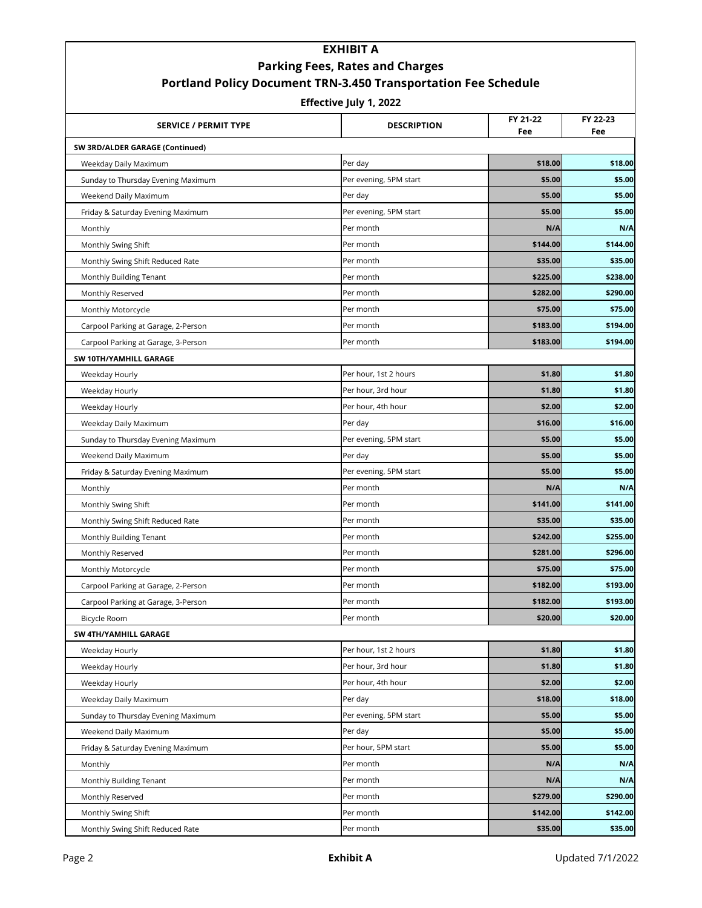| <b>EXHIBIT A</b>                                                                                                |                        |          |          |
|-----------------------------------------------------------------------------------------------------------------|------------------------|----------|----------|
| <b>Parking Fees, Rates and Charges</b><br><b>Portland Policy Document TRN-3.450 Transportation Fee Schedule</b> |                        |          |          |
|                                                                                                                 |                        |          |          |
|                                                                                                                 |                        | FY 21-22 | FY 22-23 |
| <b>SERVICE / PERMIT TYPE</b>                                                                                    | <b>DESCRIPTION</b>     | Fee      | Fee      |
| SW 3RD/ALDER GARAGE (Continued)                                                                                 |                        |          |          |
| Weekday Daily Maximum                                                                                           | Per day                | \$18.00  | \$18.00  |
| Sunday to Thursday Evening Maximum                                                                              | Per evening, 5PM start | \$5.00   | \$5.00   |
| Weekend Daily Maximum                                                                                           | Per day                | \$5.00   | \$5.00   |
| Friday & Saturday Evening Maximum                                                                               | Per evening, 5PM start | \$5.00   | \$5.00   |
| Monthly                                                                                                         | Per month              | N/A      | N/A      |
| Monthly Swing Shift                                                                                             | Per month              | \$144.00 | \$144.00 |
| Monthly Swing Shift Reduced Rate                                                                                | Per month              | \$35.00  | \$35.00  |
| Monthly Building Tenant                                                                                         | Per month              | \$225.00 | \$238.00 |
| Monthly Reserved                                                                                                | Per month              | \$282.00 | \$290.00 |
| Monthly Motorcycle                                                                                              | Per month              | \$75.00  | \$75.00  |
| Carpool Parking at Garage, 2-Person                                                                             | Per month              | \$183.00 | \$194.00 |
| Carpool Parking at Garage, 3-Person                                                                             | Per month              | \$183.00 | \$194.00 |
| SW 10TH/YAMHILL GARAGE                                                                                          |                        |          |          |
| Weekday Hourly                                                                                                  | Per hour, 1st 2 hours  | \$1.80   | \$1.80   |
| Weekday Hourly                                                                                                  | Per hour, 3rd hour     | \$1.80   | \$1.80   |
| Weekday Hourly                                                                                                  | Per hour, 4th hour     | \$2.00   | \$2.00   |
| Weekday Daily Maximum                                                                                           | Per day                | \$16.00  | \$16.00  |
| Sunday to Thursday Evening Maximum                                                                              | Per evening, 5PM start | \$5.00   | \$5.00   |
| Weekend Daily Maximum                                                                                           | Per day                | \$5.00   | \$5.00   |
| Friday & Saturday Evening Maximum                                                                               | Per evening, 5PM start | \$5.00   | \$5.00   |
| Monthly                                                                                                         | Per month              | N/A      | N/A      |
| Monthly Swing Shift                                                                                             | Per month              | \$141.00 | \$141.00 |
| Monthly Swing Shift Reduced Rate                                                                                | Per month              | \$35.00  | \$35.00  |
| Monthly Building Tenant                                                                                         | Per month              | \$242.00 | \$255.00 |
| Monthly Reserved                                                                                                | Per month              | \$281.00 | \$296.00 |
| Monthly Motorcycle                                                                                              | Per month              | \$75.00  | \$75.00  |
| Carpool Parking at Garage, 2-Person                                                                             | Per month              | \$182.00 | \$193.00 |
| Carpool Parking at Garage, 3-Person                                                                             | Per month              | \$182.00 | \$193.00 |
| <b>Bicycle Room</b>                                                                                             | Per month              | \$20.00  | \$20.00  |
| SW 4TH/YAMHILL GARAGE                                                                                           |                        |          |          |
| Weekday Hourly                                                                                                  | Per hour, 1st 2 hours  | \$1.80   | \$1.80   |
| Weekday Hourly                                                                                                  | Per hour, 3rd hour     | \$1.80   | \$1.80   |
| Weekday Hourly                                                                                                  | Per hour, 4th hour     | \$2.00   | \$2.00   |
| Weekday Daily Maximum                                                                                           | Per day                | \$18.00  | \$18.00  |
| Sunday to Thursday Evening Maximum                                                                              | Per evening, 5PM start | \$5.00   | \$5.00   |
| Weekend Daily Maximum                                                                                           | Per day                | \$5.00   | \$5.00   |
| Friday & Saturday Evening Maximum                                                                               | Per hour, 5PM start    | \$5.00   | \$5.00   |
| Monthly                                                                                                         | Per month              | N/A      | N/A      |
| Monthly Building Tenant                                                                                         | Per month              | N/A      | N/A      |
| Monthly Reserved                                                                                                | Per month              | \$279.00 | \$290.00 |
| Monthly Swing Shift                                                                                             | Per month              | \$142.00 | \$142.00 |

Monthly Swing Shift Reduced Rate **Accord Per month** Per month **1997 \$35.00 \$35.00 \$35.00 \$35.00** \$35.00 \$35.00 \$35.00 \$35.00 \$35.00 \$35.00 \$35.00 \$35.00 \$35.00 \$35.00 \$35.00 \$35.00 \$35.00 \$35.00 \$35.00 \$35.00 \$1.1 \$1.1 \$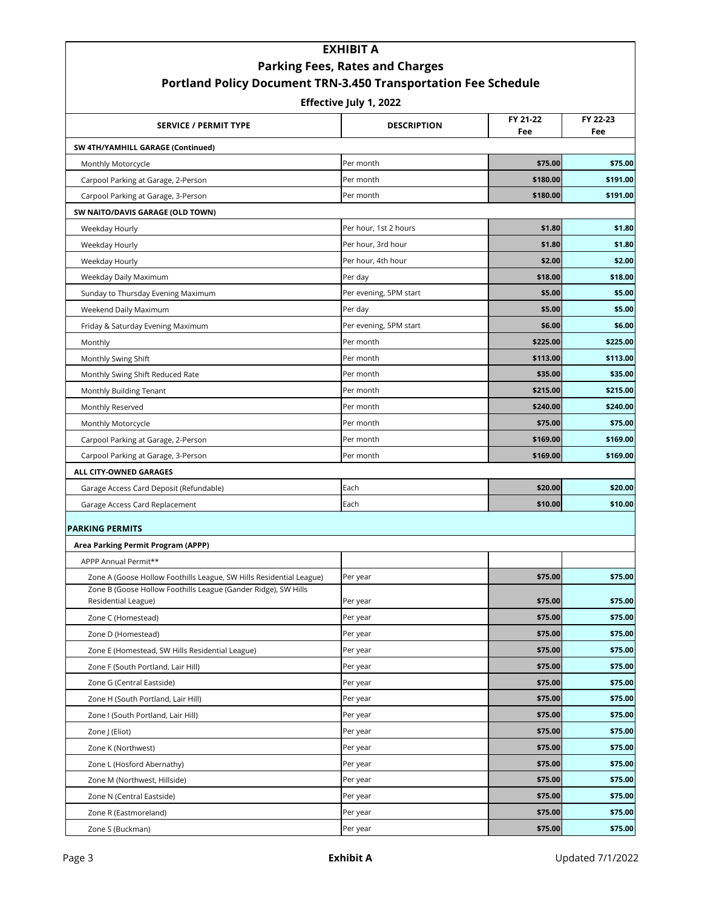| <b>EXHIBIT A</b>                                                                                                |                        |          |          |
|-----------------------------------------------------------------------------------------------------------------|------------------------|----------|----------|
| <b>Parking Fees, Rates and Charges</b><br><b>Portland Policy Document TRN-3.450 Transportation Fee Schedule</b> |                        |          |          |
|                                                                                                                 |                        |          |          |
|                                                                                                                 |                        | FY 21-22 | FY 22-23 |
| <b>SERVICE / PERMIT TYPE</b>                                                                                    | <b>DESCRIPTION</b>     | Fee      | Fee      |
| SW 4TH/YAMHILL GARAGE (Continued)                                                                               |                        |          |          |
| Monthly Motorcycle                                                                                              | Per month              | \$75.00  | \$75.00  |
| Carpool Parking at Garage, 2-Person                                                                             | Per month              | \$180.00 | \$191.00 |
| Carpool Parking at Garage, 3-Person                                                                             | Per month              | \$180.00 | \$191.00 |
| SW NAITO/DAVIS GARAGE (OLD TOWN)                                                                                |                        |          |          |
| Weekday Hourly                                                                                                  | Per hour, 1st 2 hours  | \$1.80   | \$1.80   |
| Weekday Hourly                                                                                                  | Per hour, 3rd hour     | \$1.80   | \$1.80   |
| Weekday Hourly                                                                                                  | Per hour, 4th hour     | \$2.00   | \$2.00   |
| Weekday Daily Maximum                                                                                           | Per day                | \$18.00  | \$18.00  |
| Sunday to Thursday Evening Maximum                                                                              | Per evening, 5PM start | \$5.00   | \$5.00   |
| Weekend Daily Maximum                                                                                           | Per day                | \$5.00   | \$5.00   |
| Friday & Saturday Evening Maximum                                                                               | Per evening, 5PM start | \$6.00   | \$6.00   |
| Monthly                                                                                                         | Per month              | \$225.00 | \$225.00 |
| Monthly Swing Shift                                                                                             | Per month              | \$113.00 | \$113.00 |
| Monthly Swing Shift Reduced Rate                                                                                | Per month              | \$35.00  | \$35.00  |
| Monthly Building Tenant                                                                                         | Per month              | \$215.00 | \$215.00 |
| Monthly Reserved                                                                                                | Per month              | \$240.00 | \$240.00 |
| Monthly Motorcycle                                                                                              | Per month              | \$75.00  | \$75.00  |
| Carpool Parking at Garage, 2-Person                                                                             | Per month              | \$169.00 | \$169.00 |
| Carpool Parking at Garage, 3-Person                                                                             | Per month              | \$169.00 | \$169.00 |
| <b>ALL CITY-OWNED GARAGES</b>                                                                                   |                        |          |          |
| Garage Access Card Deposit (Refundable)                                                                         | Each                   | \$20.00  | \$20.00  |
| Garage Access Card Replacement                                                                                  | Each                   | \$10.00  | \$10.00  |
|                                                                                                                 |                        |          |          |
| <b>PARKING PERMITS</b>                                                                                          |                        |          |          |
| <b>Area Parking Permit Program (APPP)</b>                                                                       |                        |          |          |
| APPP Annual Permit**                                                                                            |                        |          |          |
| Zone A (Goose Hollow Foothills League, SW Hills Residential League)                                             | Per year               | \$75.00  | \$75.00  |
| Zone B (Goose Hollow Foothills League (Gander Ridge), SW Hills<br>Residential League)                           | Per year               | \$75.00  | \$75.00  |
| Zone C (Homestead)                                                                                              | Per year               | \$75.00  | \$75.00  |
| Zone D (Homestead)                                                                                              | Per year               | \$75.00  | \$75.00  |
| Zone E (Homestead, SW Hills Residential League)                                                                 | Per year               | \$75.00  | \$75.00  |
| Zone F (South Portland, Lair Hill)                                                                              | Per year               | \$75.00  | \$75.00  |
| Zone G (Central Eastside)                                                                                       | Per year               | \$75.00  | \$75.00  |
| Zone H (South Portland, Lair Hill)                                                                              | Per year               | \$75.00  | \$75.00  |
| Zone I (South Portland, Lair Hill)                                                                              | Per year               | \$75.00  | \$75.00  |
| Zone J (Eliot)                                                                                                  | Per year               | \$75.00  | \$75.00  |
|                                                                                                                 | Per year               | \$75.00  | \$75.00  |
| Zone K (Northwest)                                                                                              |                        | \$75.00  | \$75.00  |
| Zone L (Hosford Abernathy)                                                                                      | Per year               | \$75.00  | \$75.00  |
| Zone M (Northwest, Hillside)                                                                                    | Per year<br>Per year   | \$75.00  | \$75.00  |
| Zone N (Central Eastside)                                                                                       |                        | \$75.00  | \$75.00  |
| Zone R (Eastmoreland)                                                                                           | Per year<br>Per year   | \$75.00  | \$75.00  |
| Zone S (Buckman)                                                                                                |                        |          |          |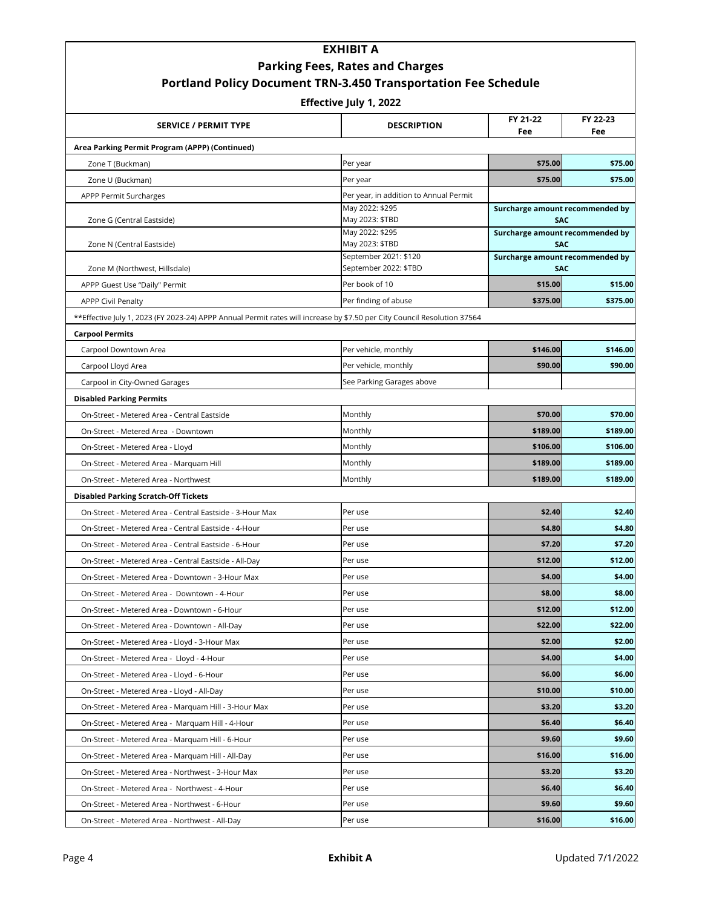| <b>EXHIBIT A</b><br><b>Parking Fees, Rates and Charges</b>                                                                |                                                |                                               |          |
|---------------------------------------------------------------------------------------------------------------------------|------------------------------------------------|-----------------------------------------------|----------|
|                                                                                                                           |                                                |                                               |          |
|                                                                                                                           | <b>Effective July 1, 2022</b>                  |                                               |          |
| <b>SERVICE / PERMIT TYPE</b>                                                                                              | <b>DESCRIPTION</b>                             | FY 21-22                                      | FY 22-23 |
|                                                                                                                           |                                                | Fee                                           | Fee      |
| Area Parking Permit Program (APPP) (Continued)                                                                            |                                                |                                               |          |
| Zone T (Buckman)                                                                                                          | Per year                                       | \$75.00                                       | \$75.00  |
| Zone U (Buckman)                                                                                                          | Per year                                       | \$75.00                                       | \$75.00  |
| APPP Permit Surcharges                                                                                                    | Per year, in addition to Annual Permit         |                                               |          |
| Zone G (Central Eastside)                                                                                                 | May 2022: \$295<br>May 2023: \$TBD             | Surcharge amount recommended by<br><b>SAC</b> |          |
|                                                                                                                           | May 2022: \$295                                | Surcharge amount recommended by               |          |
| Zone N (Central Eastside)                                                                                                 | May 2023: \$TBD                                | <b>SAC</b>                                    |          |
| Zone M (Northwest, Hillsdale)                                                                                             | September 2021: \$120<br>September 2022: \$TBD | Surcharge amount recommended by<br><b>SAC</b> |          |
| APPP Guest Use "Daily" Permit                                                                                             | Per book of 10                                 | \$15.00                                       | \$15.00  |
| <b>APPP Civil Penalty</b>                                                                                                 | Per finding of abuse                           | \$375.00                                      | \$375.00 |
| ** Effective July 1, 2023 (FY 2023-24) APPP Annual Permit rates will increase by \$7.50 per City Council Resolution 37564 |                                                |                                               |          |
| <b>Carpool Permits</b>                                                                                                    |                                                |                                               |          |
| Carpool Downtown Area                                                                                                     | Per vehicle, monthly                           | \$146.00                                      | \$146.00 |
| Carpool Lloyd Area                                                                                                        | Per vehicle, monthly                           | \$90.00                                       | \$90.00  |
| Carpool in City-Owned Garages                                                                                             | See Parking Garages above                      |                                               |          |
| <b>Disabled Parking Permits</b>                                                                                           |                                                |                                               |          |
| On-Street - Metered Area - Central Eastside                                                                               | Monthly                                        | \$70.00                                       | \$70.00  |
| On-Street - Metered Area - Downtown                                                                                       | Monthly                                        | \$189.00                                      | \$189.00 |
| On-Street - Metered Area - Lloyd                                                                                          | Monthly                                        | \$106.00                                      | \$106.00 |
| On-Street - Metered Area - Marquam Hill                                                                                   | Monthly                                        | \$189.00                                      | \$189.00 |
| On-Street - Metered Area - Northwest                                                                                      | Monthly                                        | \$189.00                                      | \$189.00 |
|                                                                                                                           |                                                |                                               |          |
| <b>Disabled Parking Scratch-Off Tickets</b><br>On-Street - Metered Area - Central Eastside - 3-Hour Max                   | Per use                                        | \$2.40                                        | \$2.40   |
|                                                                                                                           |                                                | \$4.80                                        | \$4.80   |
| On-Street - Metered Area - Central Eastside - 4-Hour                                                                      | Per use                                        |                                               |          |
| On-Street - Metered Area - Central Eastside - 6-Hour                                                                      | Per use                                        | \$7.20                                        | \$7.20   |
| On-Street - Metered Area - Central Eastside - All-Day                                                                     | Per use                                        | \$12.00                                       | \$12.00  |
| On-Street - Metered Area - Downtown - 3-Hour Max                                                                          | Per use                                        | \$4.00                                        | \$4.00   |
| On-Street - Metered Area - Downtown - 4-Hour                                                                              | Per use                                        | \$8.00                                        | \$8.00   |
| On-Street - Metered Area - Downtown - 6-Hour                                                                              | Per use                                        | \$12.00                                       | \$12.00  |
| On-Street - Metered Area - Downtown - All-Day                                                                             | Per use                                        | \$22.00                                       | \$22.00  |
| On-Street - Metered Area - Lloyd - 3-Hour Max                                                                             | Per use                                        | \$2.00                                        | \$2.00   |
| On-Street - Metered Area - Lloyd - 4-Hour                                                                                 | Per use                                        | \$4.00                                        | \$4.00   |
| On-Street - Metered Area - Lloyd - 6-Hour                                                                                 | Per use                                        | \$6.00                                        | \$6.00   |
| On-Street - Metered Area - Lloyd - All-Day                                                                                | Per use                                        | \$10.00                                       | \$10.00  |
| On-Street - Metered Area - Marquam Hill - 3-Hour Max                                                                      | Per use                                        | \$3.20                                        | \$3.20   |
| On-Street - Metered Area - Marquam Hill - 4-Hour                                                                          | Per use                                        | \$6.40                                        | \$6.40   |
| On-Street - Metered Area - Marquam Hill - 6-Hour                                                                          | Per use                                        | \$9.60                                        | \$9.60   |
| On-Street - Metered Area - Marquam Hill - All-Day                                                                         | Per use                                        | \$16.00                                       | \$16.00  |
| On-Street - Metered Area - Northwest - 3-Hour Max                                                                         | Per use                                        | \$3.20                                        | \$3.20   |
| On-Street - Metered Area - Northwest - 4-Hour                                                                             | Per use                                        | \$6.40                                        | \$6.40   |
| On-Street - Metered Area - Northwest - 6-Hour                                                                             | Per use                                        | \$9.60                                        | \$9.60   |
| On-Street - Metered Area - Northwest - All-Day                                                                            | Per use                                        | \$16.00                                       | \$16.00  |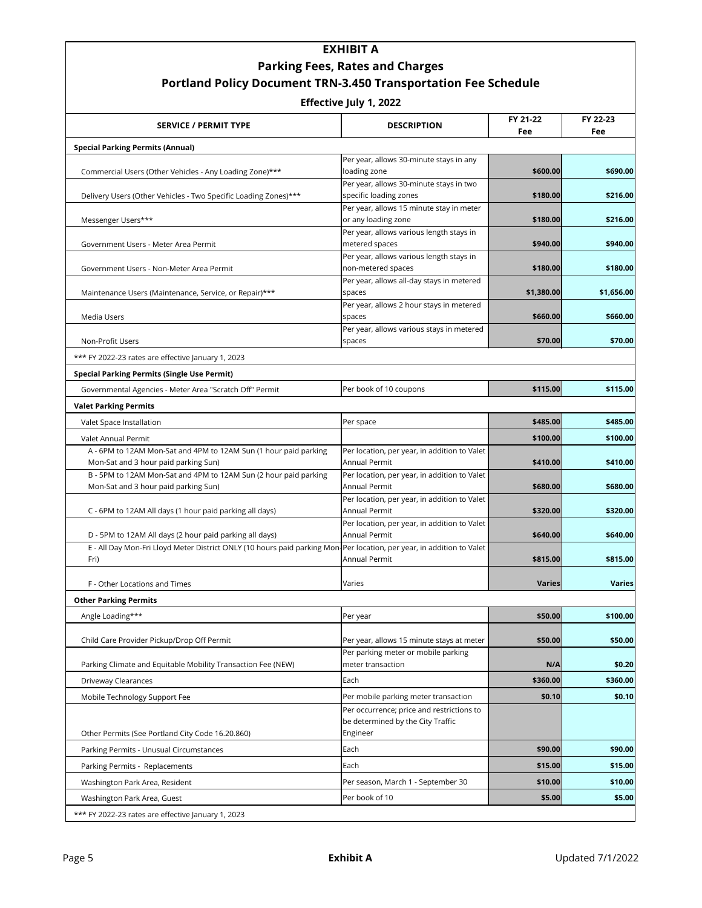## **EXHIBIT A Parking Fees, Rates and Charges Portland Policy Document TRN-3.450 Transportation Fee Schedule**

## **Effective July 1, 2022**

| <b>SERVICE / PERMIT TYPE</b>                                                                             | <b>DESCRIPTION</b>                                                   | FY 21-22      | FY 22-23      |
|----------------------------------------------------------------------------------------------------------|----------------------------------------------------------------------|---------------|---------------|
|                                                                                                          |                                                                      | Fee           | Fee           |
| <b>Special Parking Permits (Annual)</b>                                                                  | Per year, allows 30-minute stays in any                              |               |               |
| Commercial Users (Other Vehicles - Any Loading Zone)***                                                  | loading zone                                                         | \$600.00      | \$690.00      |
|                                                                                                          | Per year, allows 30-minute stays in two                              |               |               |
| Delivery Users (Other Vehicles - Two Specific Loading Zones)***                                          | specific loading zones                                               | \$180.00      | \$216.00      |
|                                                                                                          | Per year, allows 15 minute stay in meter                             |               |               |
| Messenger Users***                                                                                       | or any loading zone                                                  | \$180.00      | \$216.00      |
|                                                                                                          | Per year, allows various length stays in                             |               |               |
| Government Users - Meter Area Permit                                                                     | metered spaces                                                       | \$940.00      | \$940.00      |
| Government Users - Non-Meter Area Permit                                                                 | Per year, allows various length stays in<br>non-metered spaces       | \$180.00      | \$180.00      |
|                                                                                                          | Per year, allows all-day stays in metered                            |               |               |
| Maintenance Users (Maintenance, Service, or Repair)***                                                   | spaces                                                               | \$1,380.00    | \$1,656.00    |
|                                                                                                          | Per year, allows 2 hour stays in metered                             |               |               |
| <b>Media Users</b>                                                                                       | spaces                                                               | \$660.00      | \$660.00      |
|                                                                                                          | Per year, allows various stays in metered                            |               |               |
| Non-Profit Users                                                                                         | spaces                                                               | \$70.00       | \$70.00       |
| *** FY 2022-23 rates are effective January 1, 2023                                                       |                                                                      |               |               |
| <b>Special Parking Permits (Single Use Permit)</b>                                                       |                                                                      |               |               |
| Governmental Agencies - Meter Area "Scratch Off" Permit                                                  | Per book of 10 coupons                                               | \$115.00      | \$115.00      |
|                                                                                                          |                                                                      |               |               |
| <b>Valet Parking Permits</b>                                                                             |                                                                      |               |               |
| Valet Space Installation                                                                                 | Per space                                                            | \$485.00      | \$485.00      |
| Valet Annual Permit                                                                                      |                                                                      | \$100.00      | \$100.00      |
| A - 6PM to 12AM Mon-Sat and 4PM to 12AM Sun (1 hour paid parking                                         | Per location, per year, in addition to Valet                         |               |               |
| Mon-Sat and 3 hour paid parking Sun)                                                                     | <b>Annual Permit</b>                                                 | \$410.00      | \$410.00      |
| B - 5PM to 12AM Mon-Sat and 4PM to 12AM Sun (2 hour paid parking<br>Mon-Sat and 3 hour paid parking Sun) | Per location, per year, in addition to Valet<br><b>Annual Permit</b> | \$680.00      | \$680.00      |
|                                                                                                          | Per location, per year, in addition to Valet                         |               |               |
| C - 6PM to 12AM All days (1 hour paid parking all days)                                                  | <b>Annual Permit</b>                                                 | \$320.00      | \$320.00      |
|                                                                                                          | Per location, per year, in addition to Valet                         |               |               |
| D - 5PM to 12AM All days (2 hour paid parking all days)                                                  | <b>Annual Permit</b>                                                 | \$640.00      | \$640.00      |
| E - All Day Mon-Fri Lloyd Meter District ONLY (10 hours paid parking Mon-                                | Per location, per year, in addition to Valet                         |               |               |
| Fri)                                                                                                     | <b>Annual Permit</b>                                                 | \$815.00      | \$815.00      |
|                                                                                                          |                                                                      |               |               |
| F - Other Locations and Times                                                                            | Varies                                                               | <b>Varies</b> | <b>Varies</b> |
| <b>Other Parking Permits</b>                                                                             |                                                                      |               |               |
| Angle Loading***                                                                                         | Per year                                                             | \$50.00       | \$100.00      |
|                                                                                                          |                                                                      |               |               |
| Child Care Provider Pickup/Drop Off Permit                                                               | Per year, allows 15 minute stays at meter                            | \$50.00       | \$50.00       |
| Parking Climate and Equitable Mobility Transaction Fee (NEW)                                             | Per parking meter or mobile parking<br>meter transaction             | N/A           | \$0.20        |
|                                                                                                          |                                                                      |               |               |
| Driveway Clearances                                                                                      | Each                                                                 | \$360.00      | \$360.00      |
| Mobile Technology Support Fee                                                                            | Per mobile parking meter transaction                                 | \$0.10        | \$0.10        |
|                                                                                                          | Per occurrence; price and restrictions to                            |               |               |
| Other Permits (See Portland City Code 16.20.860)                                                         | be determined by the City Traffic<br>Engineer                        |               |               |
|                                                                                                          |                                                                      |               |               |
| Parking Permits - Unusual Circumstances                                                                  | Each                                                                 | \$90.00       | \$90.00       |
| Parking Permits - Replacements                                                                           | Each                                                                 | \$15.00       | \$15.00       |
| Washington Park Area, Resident                                                                           | Per season, March 1 - September 30                                   | \$10.00       | \$10.00       |
| Washington Park Area, Guest                                                                              | Per book of 10                                                       | \$5.00        | \$5.00        |
| *** FY 2022-23 rates are effective January 1, 2023                                                       |                                                                      |               |               |